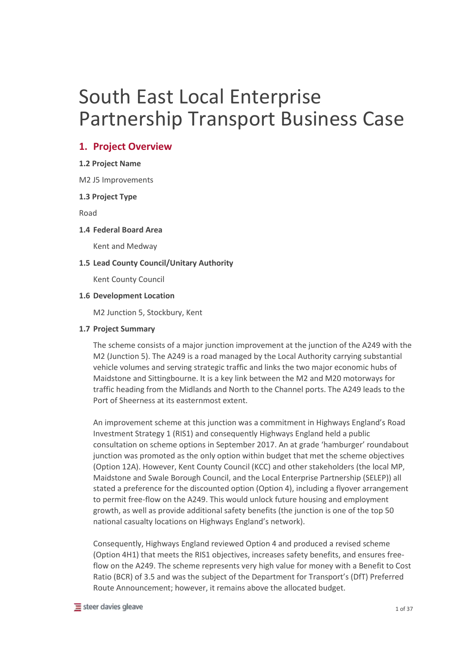# South East Local Enterprise Partnership Transport Business Case

# **1. Project Overview**

# **1.2 Project Name**

M2 J5 Improvements

# **1.3 Project Type**

Road

# **1.4 Federal Board Area**

Kent and Medway

# **1.5 Lead County Council/Unitary Authority**

Kent County Council

# **1.6 Development Location**

M2 Junction 5, Stockbury, Kent

# **1.7 Project Summary**

The scheme consists of a major junction improvement at the junction of the A249 with the M2 (Junction 5). The A249 is a road managed by the Local Authority carrying substantial vehicle volumes and serving strategic traffic and links the two major economic hubs of Maidstone and Sittingbourne. It is a key link between the M2 and M20 motorways for traffic heading from the Midlands and North to the Channel ports. The A249 leads to the Port of Sheerness at its easternmost extent.

An improvement scheme at this junction was a commitment in Highways England's Road Investment Strategy 1 (RIS1) and consequently Highways England held a public consultation on scheme options in September 2017. An at grade 'hamburger' roundabout junction was promoted as the only option within budget that met the scheme objectives (Option 12A). However, Kent County Council (KCC) and other stakeholders (the local MP, Maidstone and Swale Borough Council, and the Local Enterprise Partnership (SELEP)) all stated a preference for the discounted option (Option 4), including a flyover arrangement to permit free-flow on the A249. This would unlock future housing and employment growth, as well as provide additional safety benefits (the junction is one of the top 50 national casualty locations on Highways England's network).

Consequently, Highways England reviewed Option 4 and produced a revised scheme (Option 4H1) that meets the RIS1 objectives, increases safety benefits, and ensures freeflow on the A249. The scheme represents very high value for money with a Benefit to Cost Ratio (BCR) of 3.5 and was the subject of the Department for Transport's (DfT) Preferred Route Announcement; however, it remains above the allocated budget.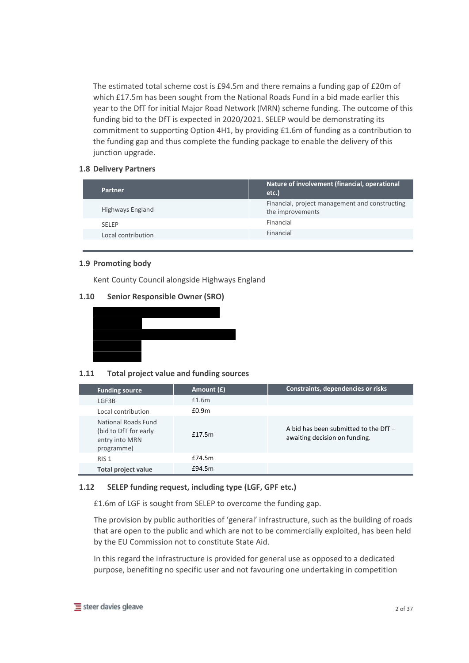The estimated total scheme cost is £94.5m and there remains a funding gap of £20m of which £17.5m has been sought from the National Roads Fund in a bid made earlier this year to the DfT for initial Major Road Network (MRN) scheme funding. The outcome of this funding bid to the DfT is expected in 2020/2021. SELEP would be demonstrating its commitment to supporting Option 4H1, by providing £1.6m of funding as a contribution to the funding gap and thus complete the funding package to enable the delivery of this junction upgrade.

# **1.8 Delivery Partners**

| Partner            | Nature of involvement (financial, operational<br>etc.)             |
|--------------------|--------------------------------------------------------------------|
| Highways England   | Financial, project management and constructing<br>the improvements |
| <b>SFIFP</b>       | Financial                                                          |
| Local contribution | Financial                                                          |
|                    |                                                                    |

#### **1.9 Promoting body**

Kent County Council alongside Highways England

# **1.10 Senior Responsible Owner (SRO)**



# **1.11 Total project value and funding sources**

| <b>Funding source</b>                                                               | Amount (£) | Constraints, dependencies or risks                                       |
|-------------------------------------------------------------------------------------|------------|--------------------------------------------------------------------------|
| LGF3B                                                                               | £1.6m      |                                                                          |
| Local contribution                                                                  | f0.9m      |                                                                          |
| <b>National Roads Fund</b><br>(bid to DfT for early<br>entry into MRN<br>programme) | f17.5m     | A bid has been submitted to the DfT $-$<br>awaiting decision on funding. |
| RIS <sub>1</sub>                                                                    | £74.5m     |                                                                          |
| Total project value                                                                 | £94.5m     |                                                                          |

# **1.12 SELEP funding request, including type (LGF, GPF etc.)**

£1.6m of LGF is sought from SELEP to overcome the funding gap.

The provision by public authorities of 'general' infrastructure, such as the building of roads that are open to the public and which are not to be commercially exploited, has been held by the EU Commission not to constitute State Aid.

In this regard the infrastructure is provided for general use as opposed to a dedicated purpose, benefiting no specific user and not favouring one undertaking in competition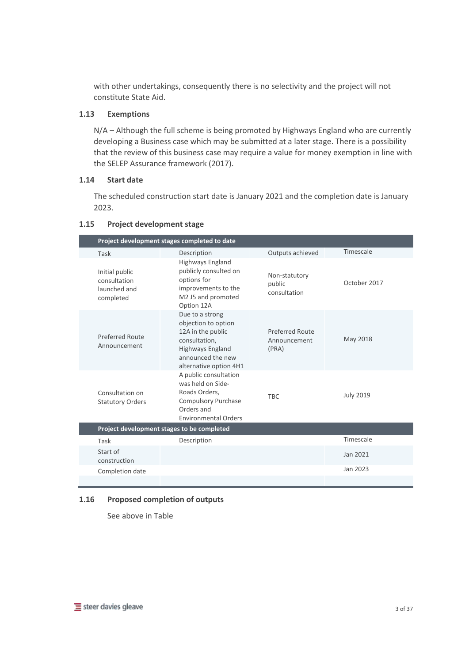with other undertakings, consequently there is no selectivity and the project will not constitute State Aid.

# **1.13 Exemptions**

N/A – Although the full scheme is being promoted by Highways England who are currently developing a Business case which may be submitted at a later stage. There is a possibility that the review of this business case may require a value for money exemption in line with the SELEP Assurance framework (2017).

#### **1.14 Start date**

The scheduled construction start date is January 2021 and the completion date is January 2023.

|                                                             | Project development stages completed to date                                                                                                           |                                                 |                  |  |
|-------------------------------------------------------------|--------------------------------------------------------------------------------------------------------------------------------------------------------|-------------------------------------------------|------------------|--|
| Task                                                        | Description                                                                                                                                            | Outputs achieved                                | Timescale        |  |
| Initial public<br>consultation<br>launched and<br>completed | <b>Highways England</b><br>publicly consulted on<br>options for<br>improvements to the<br>M2 J5 and promoted<br>Option 12A                             | Non-statutory<br>public<br>consultation         | October 2017     |  |
| Preferred Route<br>Announcement                             | Due to a strong<br>objection to option<br>12A in the public<br>consultation,<br><b>Highways England</b><br>announced the new<br>alternative option 4H1 | <b>Preferred Route</b><br>Announcement<br>(PRA) | May 2018         |  |
| Consultation on<br><b>Statutory Orders</b>                  | A public consultation<br>was held on Side-<br>Roads Orders,<br><b>Compulsory Purchase</b><br>Orders and<br><b>Environmental Orders</b>                 | <b>TBC</b>                                      | <b>July 2019</b> |  |
|                                                             | Project development stages to be completed                                                                                                             |                                                 |                  |  |
| Task                                                        | Description                                                                                                                                            |                                                 | Timescale        |  |
| Start of<br>construction                                    |                                                                                                                                                        |                                                 | Jan 2021         |  |
| Completion date                                             |                                                                                                                                                        |                                                 | Jan 2023         |  |
|                                                             |                                                                                                                                                        |                                                 |                  |  |

# **1.15 Project development stage**

#### **1.16 Proposed completion of outputs**

See above in Table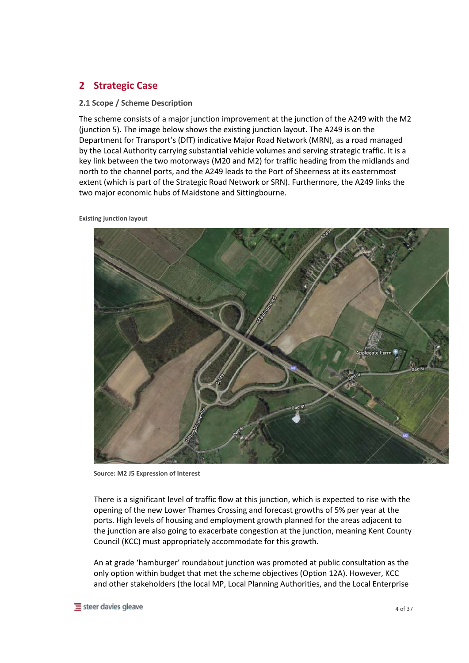# **2 Strategic Case**

# **2.1 Scope / Scheme Description**

The scheme consists of a major junction improvement at the junction of the A249 with the M2 (junction 5). The image below shows the existing junction layout. The A249 is on the Department for Transport's (DfT) indicative Major Road Network (MRN), as a road managed by the Local Authority carrying substantial vehicle volumes and serving strategic traffic. It is a key link between the two motorways (M20 and M2) for traffic heading from the midlands and north to the channel ports, and the A249 leads to the Port of Sheerness at its easternmost extent (which is part of the Strategic Road Network or SRN). Furthermore, the A249 links the two major economic hubs of Maidstone and Sittingbourne.

**Existing junction layout**



**Source: M2 J5 Expression of Interest**

There is a significant level of traffic flow at this junction, which is expected to rise with the opening of the new Lower Thames Crossing and forecast growths of 5% per year at the ports. High levels of housing and employment growth planned for the areas adjacent to the junction are also going to exacerbate congestion at the junction, meaning Kent County Council (KCC) must appropriately accommodate for this growth.

An at grade 'hamburger' roundabout junction was promoted at public consultation as the only option within budget that met the scheme objectives (Option 12A). However, KCC and other stakeholders (the local MP, Local Planning Authorities, and the Local Enterprise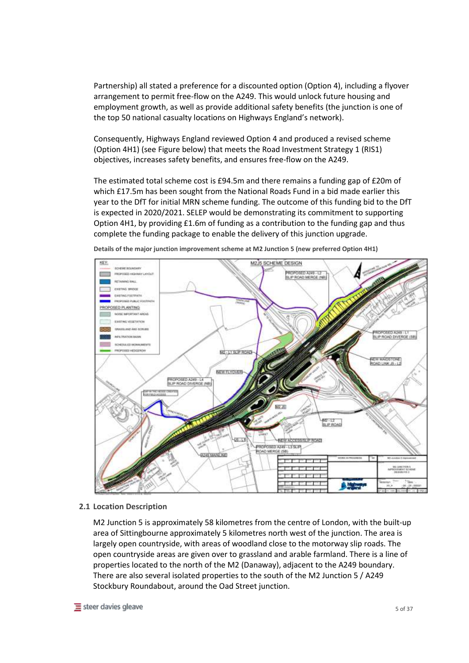Partnership) all stated a preference for a discounted option (Option 4), including a flyover arrangement to permit free-flow on the A249. This would unlock future housing and employment growth, as well as provide additional safety benefits (the junction is one of the top 50 national casualty locations on Highways England's network).

Consequently, Highways England reviewed Option 4 and produced a revised scheme (Option 4H1) (see Figure below) that meets the Road Investment Strategy 1 (RIS1) objectives, increases safety benefits, and ensures free-flow on the A249.

The estimated total scheme cost is £94.5m and there remains a funding gap of £20m of which £17.5m has been sought from the National Roads Fund in a bid made earlier this year to the DfT for initial MRN scheme funding. The outcome of this funding bid to the DfT is expected in 2020/2021. SELEP would be demonstrating its commitment to supporting Option 4H1, by providing £1.6m of funding as a contribution to the funding gap and thus complete the funding package to enable the delivery of this junction upgrade.



**Details of the major junction improvement scheme at M2 Junction 5 (new preferred Option 4H1)**

#### **2.1 Location Description**

M2 Junction 5 is approximately 58 kilometres from the centre of London, with the built-up area of Sittingbourne approximately 5 kilometres north west of the junction. The area is largely open countryside, with areas of woodland close to the motorway slip roads. The open countryside areas are given over to grassland and arable farmland. There is a line of properties located to the north of the M2 (Danaway), adjacent to the A249 boundary. There are also several isolated properties to the south of the M2 Junction 5 / A249 Stockbury Roundabout, around the Oad Street junction.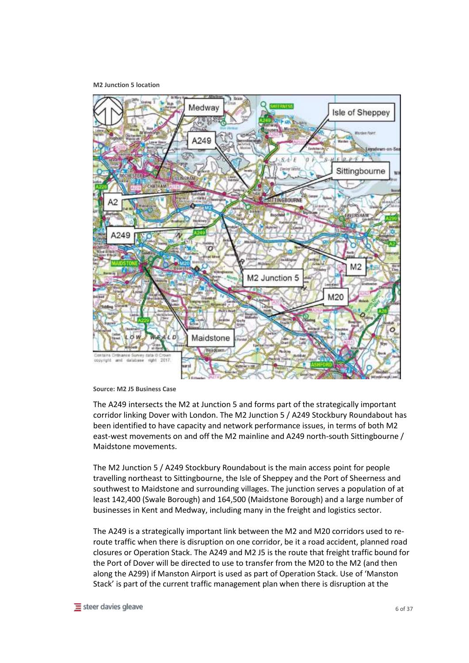**M2 Junction 5 location**



**Source: M2 J5 Business Case**

The A249 intersects the M2 at Junction 5 and forms part of the strategically important corridor linking Dover with London. The M2 Junction 5 / A249 Stockbury Roundabout has been identified to have capacity and network performance issues, in terms of both M2 east-west movements on and off the M2 mainline and A249 north-south Sittingbourne / Maidstone movements.

The M2 Junction 5 / A249 Stockbury Roundabout is the main access point for people travelling northeast to Sittingbourne, the Isle of Sheppey and the Port of Sheerness and southwest to Maidstone and surrounding villages. The junction serves a population of at least 142,400 (Swale Borough) and 164,500 (Maidstone Borough) and a large number of businesses in Kent and Medway, including many in the freight and logistics sector.

The A249 is a strategically important link between the M2 and M20 corridors used to reroute traffic when there is disruption on one corridor, be it a road accident, planned road closures or Operation Stack. The A249 and M2 J5 is the route that freight traffic bound for the Port of Dover will be directed to use to transfer from the M20 to the M2 (and then along the A299) if Manston Airport is used as part of Operation Stack. Use of 'Manston Stack' is part of the current traffic management plan when there is disruption at the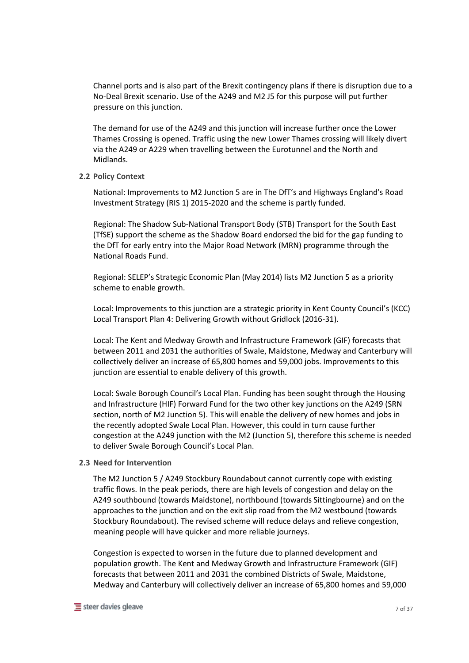Channel ports and is also part of the Brexit contingency plans if there is disruption due to a No-Deal Brexit scenario. Use of the A249 and M2 J5 for this purpose will put further pressure on this junction.

The demand for use of the A249 and this junction will increase further once the Lower Thames Crossing is opened. Traffic using the new Lower Thames crossing will likely divert via the A249 or A229 when travelling between the Eurotunnel and the North and Midlands.

#### **2.2 Policy Context**

National: Improvements to M2 Junction 5 are in The DfT's and Highways England's Road Investment Strategy (RIS 1) 2015-2020 and the scheme is partly funded.

Regional: The Shadow Sub-National Transport Body (STB) Transport for the South East (TfSE) support the scheme as the Shadow Board endorsed the bid for the gap funding to the DfT for early entry into the Major Road Network (MRN) programme through the National Roads Fund.

Regional: SELEP's Strategic Economic Plan (May 2014) lists M2 Junction 5 as a priority scheme to enable growth.

Local: Improvements to this junction are a strategic priority in Kent County Council's (KCC) Local Transport Plan 4: Delivering Growth without Gridlock (2016-31).

Local: The Kent and Medway Growth and Infrastructure Framework (GIF) forecasts that between 2011 and 2031 the authorities of Swale, Maidstone, Medway and Canterbury will collectively deliver an increase of 65,800 homes and 59,000 jobs. Improvements to this junction are essential to enable delivery of this growth.

Local: Swale Borough Council's Local Plan. Funding has been sought through the Housing and Infrastructure (HIF) Forward Fund for the two other key junctions on the A249 (SRN section, north of M2 Junction 5). This will enable the delivery of new homes and jobs in the recently adopted Swale Local Plan. However, this could in turn cause further congestion at the A249 junction with the M2 (Junction 5), therefore this scheme is needed to deliver Swale Borough Council's Local Plan.

# **2.3 Need for Intervention**

The M2 Junction 5 / A249 Stockbury Roundabout cannot currently cope with existing traffic flows. In the peak periods, there are high levels of congestion and delay on the A249 southbound (towards Maidstone), northbound (towards Sittingbourne) and on the approaches to the junction and on the exit slip road from the M2 westbound (towards Stockbury Roundabout). The revised scheme will reduce delays and relieve congestion, meaning people will have quicker and more reliable journeys.

Congestion is expected to worsen in the future due to planned development and population growth. The Kent and Medway Growth and Infrastructure Framework (GIF) forecasts that between 2011 and 2031 the combined Districts of Swale, Maidstone, Medway and Canterbury will collectively deliver an increase of 65,800 homes and 59,000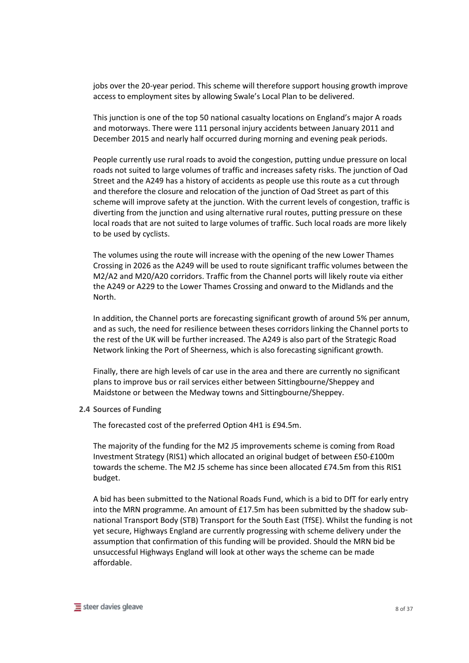jobs over the 20-year period. This scheme will therefore support housing growth improve access to employment sites by allowing Swale's Local Plan to be delivered.

This junction is one of the top 50 national casualty locations on England's major A roads and motorways. There were 111 personal injury accidents between January 2011 and December 2015 and nearly half occurred during morning and evening peak periods.

People currently use rural roads to avoid the congestion, putting undue pressure on local roads not suited to large volumes of traffic and increases safety risks. The junction of Oad Street and the A249 has a history of accidents as people use this route as a cut through and therefore the closure and relocation of the junction of Oad Street as part of this scheme will improve safety at the junction. With the current levels of congestion, traffic is diverting from the junction and using alternative rural routes, putting pressure on these local roads that are not suited to large volumes of traffic. Such local roads are more likely to be used by cyclists.

The volumes using the route will increase with the opening of the new Lower Thames Crossing in 2026 as the A249 will be used to route significant traffic volumes between the M2/A2 and M20/A20 corridors. Traffic from the Channel ports will likely route via either the A249 or A229 to the Lower Thames Crossing and onward to the Midlands and the North.

In addition, the Channel ports are forecasting significant growth of around 5% per annum, and as such, the need for resilience between theses corridors linking the Channel ports to the rest of the UK will be further increased. The A249 is also part of the Strategic Road Network linking the Port of Sheerness, which is also forecasting significant growth.

Finally, there are high levels of car use in the area and there are currently no significant plans to improve bus or rail services either between Sittingbourne/Sheppey and Maidstone or between the Medway towns and Sittingbourne/Sheppey.

#### **2.4 Sources of Funding**

The forecasted cost of the preferred Option 4H1 is £94.5m.

The majority of the funding for the M2 J5 improvements scheme is coming from Road Investment Strategy (RIS1) which allocated an original budget of between £50-£100m towards the scheme. The M2 J5 scheme has since been allocated £74.5m from this RIS1 budget.

A bid has been submitted to the National Roads Fund, which is a bid to DfT for early entry into the MRN programme. An amount of £17.5m has been submitted by the shadow subnational Transport Body (STB) Transport for the South East (TfSE). Whilst the funding is not yet secure, Highways England are currently progressing with scheme delivery under the assumption that confirmation of this funding will be provided. Should the MRN bid be unsuccessful Highways England will look at other ways the scheme can be made affordable.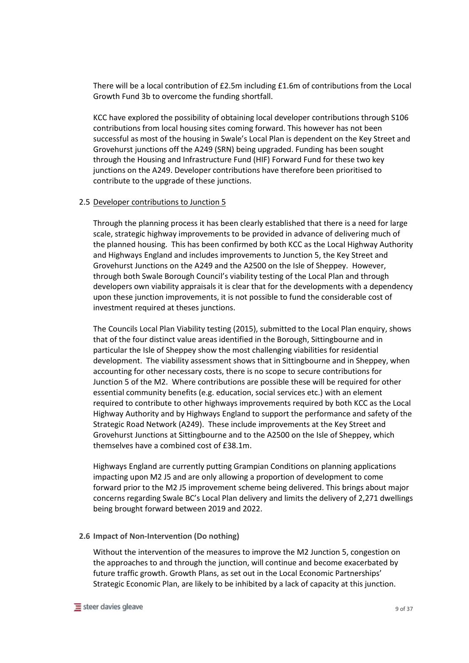There will be a local contribution of £2.5m including £1.6m of contributions from the Local Growth Fund 3b to overcome the funding shortfall.

KCC have explored the possibility of obtaining local developer contributions through S106 contributions from local housing sites coming forward. This however has not been successful as most of the housing in Swale's Local Plan is dependent on the Key Street and Grovehurst junctions off the A249 (SRN) being upgraded. Funding has been sought through the Housing and Infrastructure Fund (HIF) Forward Fund for these two key junctions on the A249. Developer contributions have therefore been prioritised to contribute to the upgrade of these junctions.

#### 2.5 Developer contributions to Junction 5

Through the planning process it has been clearly established that there is a need for large scale, strategic highway improvements to be provided in advance of delivering much of the planned housing. This has been confirmed by both KCC as the Local Highway Authority and Highways England and includes improvements to Junction 5, the Key Street and Grovehurst Junctions on the A249 and the A2500 on the Isle of Sheppey. However, through both Swale Borough Council's viability testing of the Local Plan and through developers own viability appraisals it is clear that for the developments with a dependency upon these junction improvements, it is not possible to fund the considerable cost of investment required at theses junctions.

The Councils Local Plan Viability testing (2015), submitted to the Local Plan enquiry, shows that of the four distinct value areas identified in the Borough, Sittingbourne and in particular the Isle of Sheppey show the most challenging viabilities for residential development. The viability assessment shows that in Sittingbourne and in Sheppey, when accounting for other necessary costs, there is no scope to secure contributions for Junction 5 of the M2. Where contributions are possible these will be required for other essential community benefits (e.g. education, social services etc.) with an element required to contribute to other highways improvements required by both KCC as the Local Highway Authority and by Highways England to support the performance and safety of the Strategic Road Network (A249). These include improvements at the Key Street and Grovehurst Junctions at Sittingbourne and to the A2500 on the Isle of Sheppey, which themselves have a combined cost of £38.1m.

Highways England are currently putting Grampian Conditions on planning applications impacting upon M2 J5 and are only allowing a proportion of development to come forward prior to the M2 J5 improvement scheme being delivered. This brings about major concerns regarding Swale BC's Local Plan delivery and limits the delivery of 2,271 dwellings being brought forward between 2019 and 2022.

#### **2.6 Impact of Non-Intervention (Do nothing)**

Without the intervention of the measures to improve the M2 Junction 5, congestion on the approaches to and through the junction, will continue and become exacerbated by future traffic growth. Growth Plans, as set out in the Local Economic Partnerships' Strategic Economic Plan, are likely to be inhibited by a lack of capacity at this junction.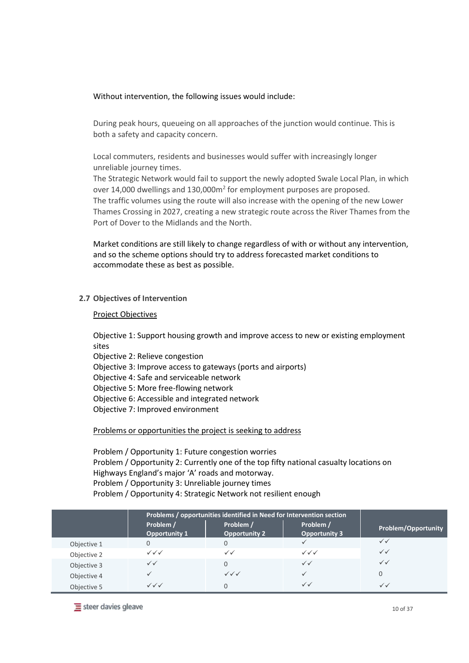Without intervention, the following issues would include:

During peak hours, queueing on all approaches of the junction would continue. This is both a safety and capacity concern.

Local commuters, residents and businesses would suffer with increasingly longer unreliable journey times.

The Strategic Network would fail to support the newly adopted Swale Local Plan, in which over 14,000 dwellings and 130,000m<sup>2</sup> for employment purposes are proposed. The traffic volumes using the route will also increase with the opening of the new Lower Thames Crossing in 2027, creating a new strategic route across the River Thames from the Port of Dover to the Midlands and the North.

Market conditions are still likely to change regardless of with or without any intervention, and so the scheme options should try to address forecasted market conditions to accommodate these as best as possible.

#### **2.7 Objectives of Intervention**

#### Project Objectives

Objective 1: Support housing growth and improve access to new or existing employment sites

Objective 2: Relieve congestion

Objective 3: Improve access to gateways (ports and airports)

Objective 4: Safe and serviceable network

Objective 5: More free-flowing network

Objective 6: Accessible and integrated network

Objective 7: Improved environment

Problems or opportunities the project is seeking to address

Problem / Opportunity 1: Future congestion worries Problem / Opportunity 2: Currently one of the top fifty national casualty locations on Highways England's major 'A' roads and motorway. Problem / Opportunity 3: Unreliable journey times Problem / Opportunity 4: Strategic Network not resilient enough

|             | Problems / opportunities identified in Need for Intervention section |                                   |                                  |                     |
|-------------|----------------------------------------------------------------------|-----------------------------------|----------------------------------|---------------------|
|             | Problem /<br><b>Opportunity 1</b>                                    | Problem /<br><b>Opportunity 2</b> | Problem /<br>Opportunity 3       | Problem/Opportunity |
| Objective 1 | 0                                                                    |                                   |                                  | $\checkmark$        |
| Objective 2 | $\checkmark$ $\checkmark$ $\checkmark$                               | $\checkmark$                      | $\checkmark\checkmark\checkmark$ | $\checkmark$        |
| Objective 3 | $\checkmark$                                                         |                                   | $\checkmark$                     | $\checkmark$        |
| Objective 4 | ✓                                                                    | $\checkmark\checkmark\checkmark$  |                                  | $\Omega$            |
| Objective 5 | $\checkmark\checkmark\checkmark$                                     |                                   | $\checkmark$                     |                     |

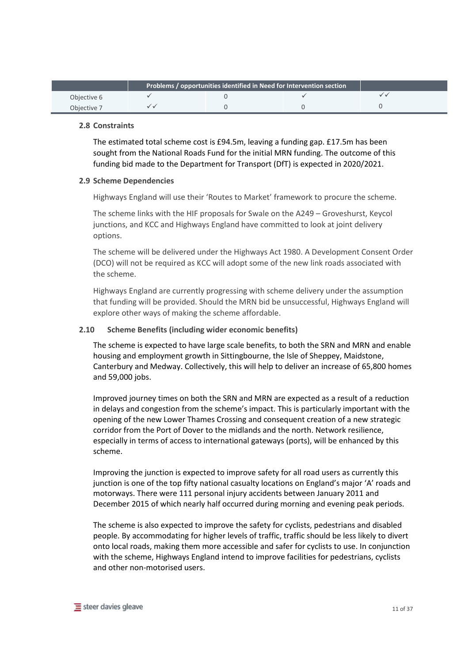|             | Problems / opportunities identified in Need for Intervention section |  |  |  |
|-------------|----------------------------------------------------------------------|--|--|--|
| Objective 6 |                                                                      |  |  |  |
| Objective 7 |                                                                      |  |  |  |

#### **2.8 Constraints**

The estimated total scheme cost is £94.5m, leaving a funding gap. £17.5m has been sought from the National Roads Fund for the initial MRN funding. The outcome of this funding bid made to the Department for Transport (DfT) is expected in 2020/2021.

#### **2.9 Scheme Dependencies**

Highways England will use their 'Routes to Market' framework to procure the scheme.

The scheme links with the HIF proposals for Swale on the A249 – Groveshurst, Keycol junctions, and KCC and Highways England have committed to look at joint delivery options.

The scheme will be delivered under the Highways Act 1980. A Development Consent Order (DCO) will not be required as KCC will adopt some of the new link roads associated with the scheme.

Highways England are currently progressing with scheme delivery under the assumption that funding will be provided. Should the MRN bid be unsuccessful, Highways England will explore other ways of making the scheme affordable.

## **2.10 Scheme Benefits (including wider economic benefits)**

The scheme is expected to have large scale benefits, to both the SRN and MRN and enable housing and employment growth in Sittingbourne, the Isle of Sheppey, Maidstone, Canterbury and Medway. Collectively, this will help to deliver an increase of 65,800 homes and 59,000 jobs.

Improved journey times on both the SRN and MRN are expected as a result of a reduction in delays and congestion from the scheme's impact. This is particularly important with the opening of the new Lower Thames Crossing and consequent creation of a new strategic corridor from the Port of Dover to the midlands and the north. Network resilience, especially in terms of access to international gateways (ports), will be enhanced by this scheme.

Improving the junction is expected to improve safety for all road users as currently this junction is one of the top fifty national casualty locations on England's major 'A' roads and motorways. There were 111 personal injury accidents between January 2011 and December 2015 of which nearly half occurred during morning and evening peak periods.

The scheme is also expected to improve the safety for cyclists, pedestrians and disabled people. By accommodating for higher levels of traffic, traffic should be less likely to divert onto local roads, making them more accessible and safer for cyclists to use. In conjunction with the scheme, Highways England intend to improve facilities for pedestrians, cyclists and other non-motorised users.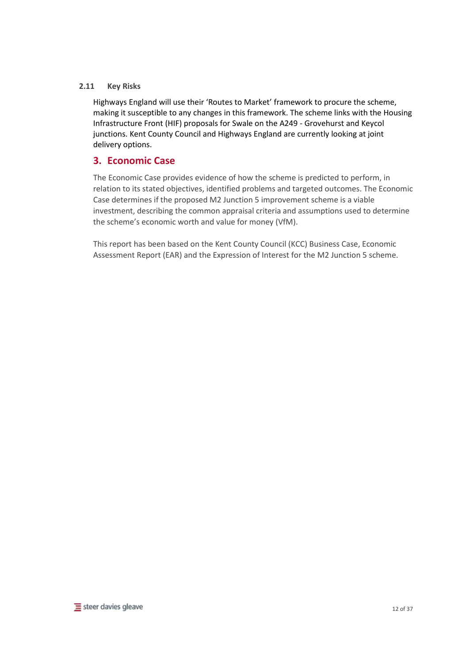## **2.11 Key Risks**

Highways England will use their 'Routes to Market' framework to procure the scheme, making it susceptible to any changes in this framework. The scheme links with the Housing Infrastructure Front (HIF) proposals for Swale on the A249 - Grovehurst and Keycol junctions. Kent County Council and Highways England are currently looking at joint delivery options.

# **3. Economic Case**

The Economic Case provides evidence of how the scheme is predicted to perform, in relation to its stated objectives, identified problems and targeted outcomes. The Economic Case determines if the proposed M2 Junction 5 improvement scheme is a viable investment, describing the common appraisal criteria and assumptions used to determine the scheme's economic worth and value for money (VfM).

This report has been based on the Kent County Council (KCC) Business Case, Economic Assessment Report (EAR) and the Expression of Interest for the M2 Junction 5 scheme.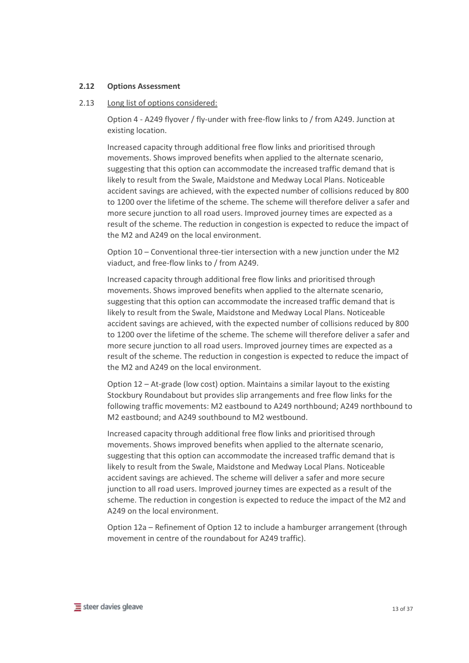#### **2.12 Options Assessment**

#### 2.13 Long list of options considered:

Option 4 - A249 flyover / fly-under with free-flow links to / from A249. Junction at existing location.

Increased capacity through additional free flow links and prioritised through movements. Shows improved benefits when applied to the alternate scenario, suggesting that this option can accommodate the increased traffic demand that is likely to result from the Swale, Maidstone and Medway Local Plans. Noticeable accident savings are achieved, with the expected number of collisions reduced by 800 to 1200 over the lifetime of the scheme. The scheme will therefore deliver a safer and more secure junction to all road users. Improved journey times are expected as a result of the scheme. The reduction in congestion is expected to reduce the impact of the M2 and A249 on the local environment.

Option 10 – Conventional three-tier intersection with a new junction under the M2 viaduct, and free-flow links to / from A249.

Increased capacity through additional free flow links and prioritised through movements. Shows improved benefits when applied to the alternate scenario, suggesting that this option can accommodate the increased traffic demand that is likely to result from the Swale, Maidstone and Medway Local Plans. Noticeable accident savings are achieved, with the expected number of collisions reduced by 800 to 1200 over the lifetime of the scheme. The scheme will therefore deliver a safer and more secure junction to all road users. Improved journey times are expected as a result of the scheme. The reduction in congestion is expected to reduce the impact of the M2 and A249 on the local environment.

Option 12 – At-grade (low cost) option. Maintains a similar layout to the existing Stockbury Roundabout but provides slip arrangements and free flow links for the following traffic movements: M2 eastbound to A249 northbound; A249 northbound to M2 eastbound; and A249 southbound to M2 westbound.

Increased capacity through additional free flow links and prioritised through movements. Shows improved benefits when applied to the alternate scenario, suggesting that this option can accommodate the increased traffic demand that is likely to result from the Swale, Maidstone and Medway Local Plans. Noticeable accident savings are achieved. The scheme will deliver a safer and more secure junction to all road users. Improved journey times are expected as a result of the scheme. The reduction in congestion is expected to reduce the impact of the M2 and A249 on the local environment.

Option 12a – Refinement of Option 12 to include a hamburger arrangement (through movement in centre of the roundabout for A249 traffic).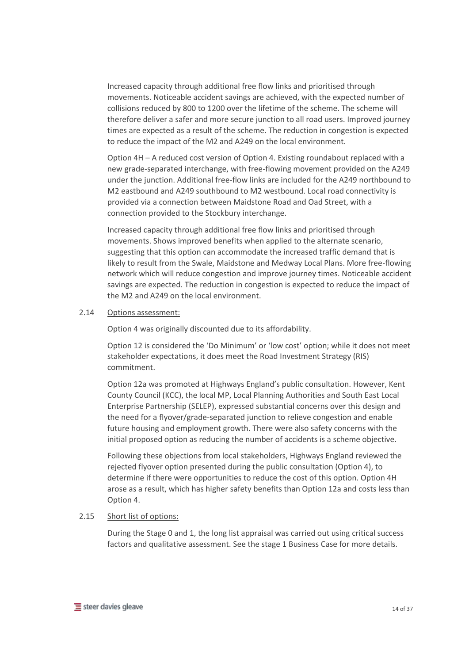Increased capacity through additional free flow links and prioritised through movements. Noticeable accident savings are achieved, with the expected number of collisions reduced by 800 to 1200 over the lifetime of the scheme. The scheme will therefore deliver a safer and more secure junction to all road users. Improved journey times are expected as a result of the scheme. The reduction in congestion is expected to reduce the impact of the M2 and A249 on the local environment.

Option 4H – A reduced cost version of Option 4. Existing roundabout replaced with a new grade-separated interchange, with free-flowing movement provided on the A249 under the junction. Additional free-flow links are included for the A249 northbound to M2 eastbound and A249 southbound to M2 westbound. Local road connectivity is provided via a connection between Maidstone Road and Oad Street, with a connection provided to the Stockbury interchange.

Increased capacity through additional free flow links and prioritised through movements. Shows improved benefits when applied to the alternate scenario, suggesting that this option can accommodate the increased traffic demand that is likely to result from the Swale, Maidstone and Medway Local Plans. More free-flowing network which will reduce congestion and improve journey times. Noticeable accident savings are expected. The reduction in congestion is expected to reduce the impact of the M2 and A249 on the local environment.

#### 2.14 Options assessment:

Option 4 was originally discounted due to its affordability.

Option 12 is considered the 'Do Minimum' or 'low cost' option; while it does not meet stakeholder expectations, it does meet the Road Investment Strategy (RIS) commitment.

Option 12a was promoted at Highways England's public consultation. However, Kent County Council (KCC), the local MP, Local Planning Authorities and South East Local Enterprise Partnership (SELEP), expressed substantial concerns over this design and the need for a flyover/grade-separated junction to relieve congestion and enable future housing and employment growth. There were also safety concerns with the initial proposed option as reducing the number of accidents is a scheme objective.

Following these objections from local stakeholders, Highways England reviewed the rejected flyover option presented during the public consultation (Option 4), to determine if there were opportunities to reduce the cost of this option. Option 4H arose as a result, which has higher safety benefits than Option 12a and costs less than Option 4.

#### 2.15 Short list of options:

During the Stage 0 and 1, the long list appraisal was carried out using critical success factors and qualitative assessment. See the stage 1 Business Case for more details.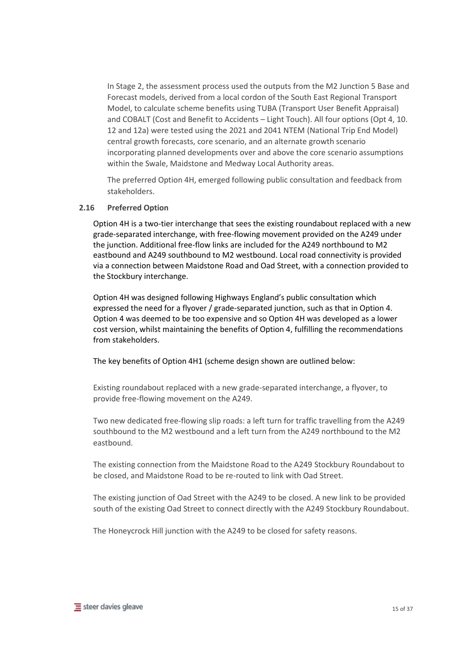In Stage 2, the assessment process used the outputs from the M2 Junction 5 Base and Forecast models, derived from a local cordon of the South East Regional Transport Model, to calculate scheme benefits using TUBA (Transport User Benefit Appraisal) and COBALT (Cost and Benefit to Accidents – Light Touch). All four options (Opt 4, 10. 12 and 12a) were tested using the 2021 and 2041 NTEM (National Trip End Model) central growth forecasts, core scenario, and an alternate growth scenario incorporating planned developments over and above the core scenario assumptions within the Swale, Maidstone and Medway Local Authority areas.

The preferred Option 4H, emerged following public consultation and feedback from stakeholders.

#### **2.16 Preferred Option**

Option 4H is a two-tier interchange that sees the existing roundabout replaced with a new grade-separated interchange, with free-flowing movement provided on the A249 under the junction. Additional free-flow links are included for the A249 northbound to M2 eastbound and A249 southbound to M2 westbound. Local road connectivity is provided via a connection between Maidstone Road and Oad Street, with a connection provided to the Stockbury interchange.

Option 4H was designed following Highways England's public consultation which expressed the need for a flyover / grade-separated junction, such as that in Option 4. Option 4 was deemed to be too expensive and so Option 4H was developed as a lower cost version, whilst maintaining the benefits of Option 4, fulfilling the recommendations from stakeholders.

The key benefits of Option 4H1 (scheme design shown are outlined below:

Existing roundabout replaced with a new grade-separated interchange, a flyover, to provide free-flowing movement on the A249.

Two new dedicated free-flowing slip roads: a left turn for traffic travelling from the A249 southbound to the M2 westbound and a left turn from the A249 northbound to the M2 eastbound.

The existing connection from the Maidstone Road to the A249 Stockbury Roundabout to be closed, and Maidstone Road to be re-routed to link with Oad Street.

The existing junction of Oad Street with the A249 to be closed. A new link to be provided south of the existing Oad Street to connect directly with the A249 Stockbury Roundabout.

The Honeycrock Hill junction with the A249 to be closed for safety reasons.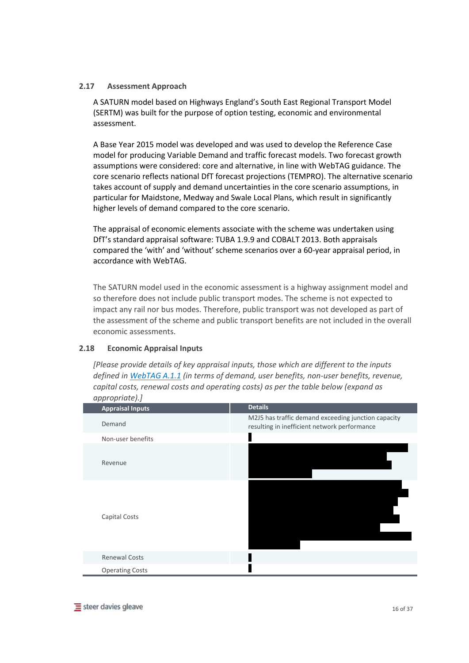# **2.17 Assessment Approach**

A SATURN model based on Highways England's South East Regional Transport Model (SERTM) was built for the purpose of option testing, economic and environmental assessment.

A Base Year 2015 model was developed and was used to develop the Reference Case model for producing Variable Demand and traffic forecast models. Two forecast growth assumptions were considered: core and alternative, in line with WebTAG guidance. The core scenario reflects national DfT forecast projections (TEMPRO). The alternative scenario takes account of supply and demand uncertainties in the core scenario assumptions, in particular for Maidstone, Medway and Swale Local Plans, which result in significantly higher levels of demand compared to the core scenario.

The appraisal of economic elements associate with the scheme was undertaken using DfT's standard appraisal software: TUBA 1.9.9 and COBALT 2013. Both appraisals compared the 'with' and 'without' scheme scenarios over a 60-year appraisal period, in accordance with WebTAG.

The SATURN model used in the economic assessment is a highway assignment model and so therefore does not include public transport modes. The scheme is not expected to impact any rail nor bus modes. Therefore, public transport was not developed as part of the assessment of the scheme and public transport benefits are not included in the overall economic assessments.

# **2.18 Economic Appraisal Inputs**

*[Please provide details of key appraisal inputs, those which are different to the inputs defined in WebTAG A.1.1 (in terms of demand, user benefits, non-user benefits, revenue, capital costs, renewal costs and operating costs) as per the table below (expand as appropriate).]*

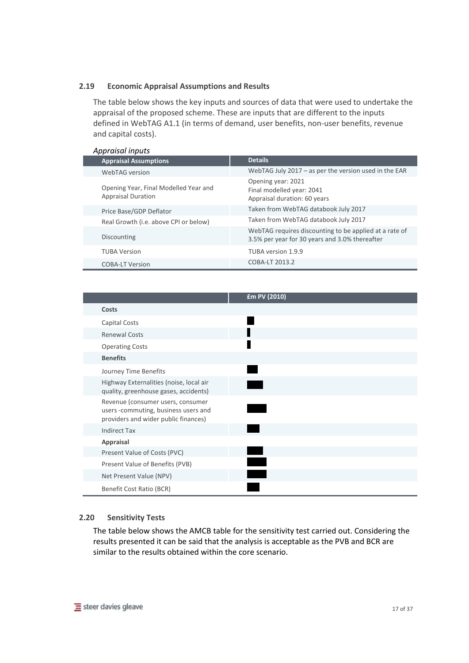#### **2.19 Economic Appraisal Assumptions and Results**

The table below shows the key inputs and sources of data that were used to undertake the appraisal of the proposed scheme. These are inputs that are different to the inputs defined in WebTAG A1.1 (in terms of demand, user benefits, non-user benefits, revenue and capital costs).

#### *Appraisal inputs*

| <b>Appraisal Assumptions</b>                                       |  | <b>Details</b>                                                                                           |
|--------------------------------------------------------------------|--|----------------------------------------------------------------------------------------------------------|
| WebTAG version                                                     |  | WebTAG July $2017 - as$ per the version used in the EAR                                                  |
| Opening Year, Final Modelled Year and<br><b>Appraisal Duration</b> |  | Opening year: 2021<br>Final modelled year: 2041<br>Appraisal duration: 60 years                          |
| Price Base/GDP Deflator                                            |  | Taken from WebTAG databook July 2017                                                                     |
| Real Growth (i.e. above CPI or below)                              |  | Taken from WebTAG databook July 2017                                                                     |
| Discounting                                                        |  | WebTAG requires discounting to be applied at a rate of<br>3.5% per year for 30 years and 3.0% thereafter |
| <b>TUBA Version</b>                                                |  | TUBA version 1.9.9                                                                                       |
| <b>COBA-LT Version</b>                                             |  | COBA-LT 2013.2                                                                                           |

|                                                                                                                   | £m PV (2010) |
|-------------------------------------------------------------------------------------------------------------------|--------------|
| Costs                                                                                                             |              |
| Capital Costs                                                                                                     |              |
| <b>Renewal Costs</b>                                                                                              |              |
| <b>Operating Costs</b>                                                                                            |              |
| <b>Benefits</b>                                                                                                   |              |
| Journey Time Benefits                                                                                             |              |
| Highway Externalities (noise, local air<br>quality, greenhouse gases, accidents)                                  |              |
| Revenue (consumer users, consumer<br>users -commuting, business users and<br>providers and wider public finances) |              |
| <b>Indirect Tax</b>                                                                                               |              |
| Appraisal                                                                                                         |              |
| Present Value of Costs (PVC)                                                                                      |              |
| Present Value of Benefits (PVB)                                                                                   |              |
| Net Present Value (NPV)                                                                                           |              |
| Benefit Cost Ratio (BCR)                                                                                          |              |

#### **2.20 Sensitivity Tests**

The table below shows the AMCB table for the sensitivity test carried out. Considering the results presented it can be said that the analysis is acceptable as the PVB and BCR are similar to the results obtained within the core scenario.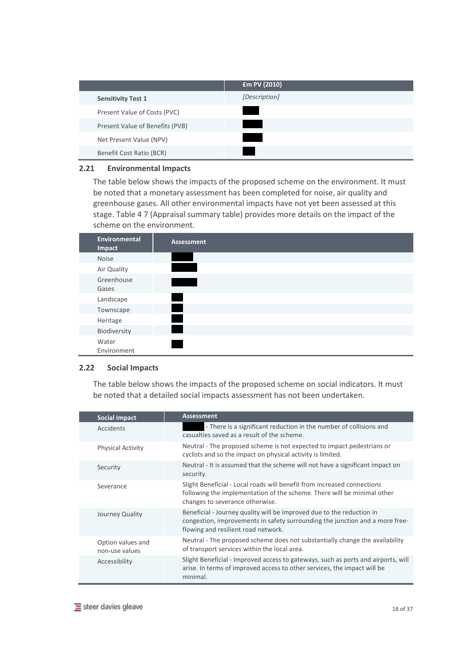|                                 | £m PV (2010)  |
|---------------------------------|---------------|
| <b>Sensitivity Test 1</b>       | [Description] |
| Present Value of Costs (PVC)    |               |
| Present Value of Benefits (PVB) |               |
| Net Present Value (NPV)         |               |
| Benefit Cost Ratio (BCR)        |               |

## **2.21 Environmental Impacts**

The table below shows the impacts of the proposed scheme on the environment. It must be noted that a monetary assessment has been completed for noise, air quality and greenhouse gases. All other environmental impacts have not yet been assessed at this stage. Table 4 7 (Appraisal summary table) provides more details on the impact of the scheme on the environment.



#### **2.22 Social Impacts**

The table below shows the impacts of the proposed scheme on social indicators. It must be noted that a detailed social impacts assessment has not been undertaken.

| <b>Social Impact</b>                | <b>Assessment</b>                                                                                                                                                                            |  |
|-------------------------------------|----------------------------------------------------------------------------------------------------------------------------------------------------------------------------------------------|--|
| Accidents                           | - There is a significant reduction in the number of collisions and<br>casualties saved as a result of the scheme.                                                                            |  |
| <b>Physical Activity</b>            | Neutral - The proposed scheme is not expected to impact pedestrians or<br>cyclists and so the impact on physical activity is limited.                                                        |  |
| Security                            | Neutral - It is assumed that the scheme will not have a significant impact on<br>security.                                                                                                   |  |
| Severance                           | Slight Beneficial - Local roads will benefit from increased connections<br>following the implementation of the scheme. There will be minimal other<br>changes to severance otherwise.        |  |
| Journey Quality                     | Beneficial - Journey quality will be improved due to the reduction in<br>congestion, improvements in safety surrounding the junction and a more free-<br>flowing and resilient road network. |  |
| Option values and<br>non-use values | Neutral - The proposed scheme does not substantially change the availability<br>of transport services within the local area.                                                                 |  |
| Accessibility                       | Slight Beneficial - Improved access to gateways, such as ports and airports, will<br>arise. In terms of improved access to other services, the impact will be<br>minimal.                    |  |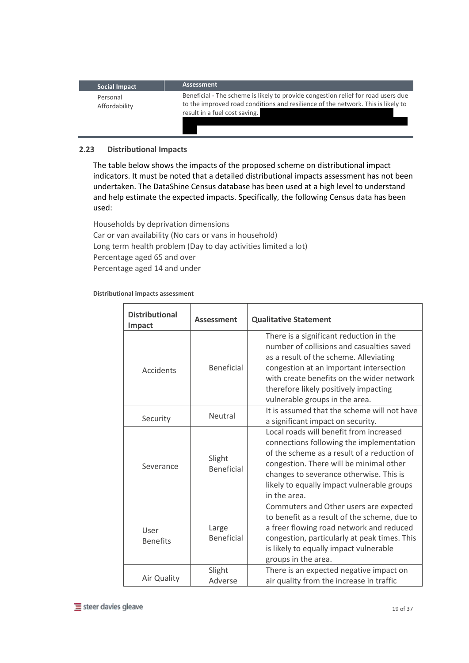| Social Impact             | <b>Assessment</b>                                                                                                                                                                                      |
|---------------------------|--------------------------------------------------------------------------------------------------------------------------------------------------------------------------------------------------------|
| Personal<br>Affordability | Beneficial - The scheme is likely to provide congestion relief for road users due<br>to the improved road conditions and resilience of the network. This is likely to<br>result in a fuel cost saving. |

# **2.23 Distributional Impacts**

The table below shows the impacts of the proposed scheme on distributional impact indicators. It must be noted that a detailed distributional impacts assessment has not been undertaken. The DataShine Census database has been used at a high level to understand and help estimate the expected impacts. Specifically, the following Census data has been used:

Households by deprivation dimensions Car or van availability (No cars or vans in household) Long term health problem (Day to day activities limited a lot) Percentage aged 65 and over Percentage aged 14 and under

#### **Distributional impacts assessment**

| <b>Distributional</b><br>Impact | <b>Assessment</b>           | <b>Qualitative Statement</b>                                                                                                                                                                                                                                                                      |
|---------------------------------|-----------------------------|---------------------------------------------------------------------------------------------------------------------------------------------------------------------------------------------------------------------------------------------------------------------------------------------------|
| Accidents                       | <b>Beneficial</b>           | There is a significant reduction in the<br>number of collisions and casualties saved<br>as a result of the scheme. Alleviating<br>congestion at an important intersection<br>with create benefits on the wider network<br>therefore likely positively impacting<br>vulnerable groups in the area. |
| Security                        | Neutral                     | It is assumed that the scheme will not have<br>a significant impact on security.                                                                                                                                                                                                                  |
| Severance                       | Slight<br><b>Beneficial</b> | Local roads will benefit from increased<br>connections following the implementation<br>of the scheme as a result of a reduction of<br>congestion. There will be minimal other<br>changes to severance otherwise. This is<br>likely to equally impact vulnerable groups<br>in the area.            |
| User<br><b>Benefits</b>         | Large<br><b>Beneficial</b>  | Commuters and Other users are expected<br>to benefit as a result of the scheme, due to<br>a freer flowing road network and reduced<br>congestion, particularly at peak times. This<br>is likely to equally impact vulnerable<br>groups in the area.                                               |
| Air Quality                     | Slight<br>Adverse           | There is an expected negative impact on<br>air quality from the increase in traffic                                                                                                                                                                                                               |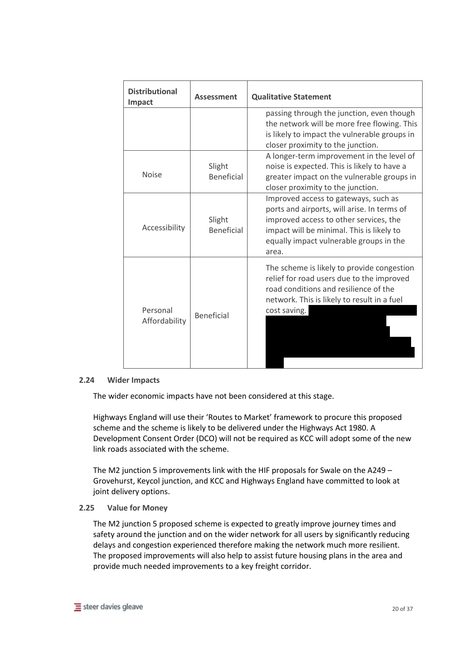| <b>Distributional</b><br><b>Impact</b> | <b>Assessment</b>           | <b>Qualitative Statement</b>                                                                                                                                                                                                   |
|----------------------------------------|-----------------------------|--------------------------------------------------------------------------------------------------------------------------------------------------------------------------------------------------------------------------------|
|                                        |                             | passing through the junction, even though<br>the network will be more free flowing. This<br>is likely to impact the vulnerable groups in<br>closer proximity to the junction.                                                  |
| <b>Noise</b>                           | Slight<br><b>Beneficial</b> | A longer-term improvement in the level of<br>noise is expected. This is likely to have a<br>greater impact on the vulnerable groups in<br>closer proximity to the junction.                                                    |
| Accessibility                          | Slight<br><b>Beneficial</b> | Improved access to gateways, such as<br>ports and airports, will arise. In terms of<br>improved access to other services, the<br>impact will be minimal. This is likely to<br>equally impact vulnerable groups in the<br>area. |
| Personal<br>Affordability              | <b>Beneficial</b>           | The scheme is likely to provide congestion<br>relief for road users due to the improved<br>road conditions and resilience of the<br>network. This is likely to result in a fuel<br>cost saving.                                |

#### **2.24 Wider Impacts**

The wider economic impacts have not been considered at this stage.

Highways England will use their 'Routes to Market' framework to procure this proposed scheme and the scheme is likely to be delivered under the Highways Act 1980. A Development Consent Order (DCO) will not be required as KCC will adopt some of the new link roads associated with the scheme.

The M2 junction 5 improvements link with the HIF proposals for Swale on the A249 – Grovehurst, Keycol junction, and KCC and Highways England have committed to look at joint delivery options.

#### **2.25 Value for Money**

The M2 junction 5 proposed scheme is expected to greatly improve journey times and safety around the junction and on the wider network for all users by significantly reducing delays and congestion experienced therefore making the network much more resilient. The proposed improvements will also help to assist future housing plans in the area and provide much needed improvements to a key freight corridor.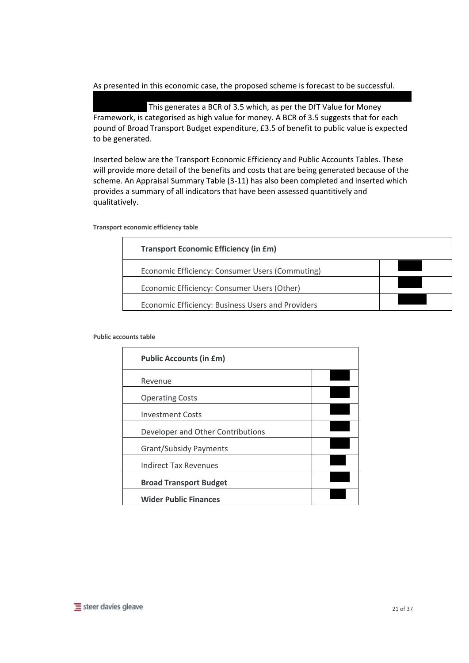# As presented in this economic case, the proposed scheme is forecast to be successful.

 $W_{\rm eff}$  specifically considering value for money, the scheme generates a  $P_{\rm eff}$ This generates a BCR of 3.5 which, as per the DfT Value for Money Framework, is categorised as high value for money. A BCR of 3.5 suggests that for each pound of Broad Transport Budget expenditure, £3.5 of benefit to public value is expected to be generated.

Inserted below are the Transport Economic Efficiency and Public Accounts Tables. These will provide more detail of the benefits and costs that are being generated because of the scheme. An Appraisal Summary Table (3-11) has also been completed and inserted which provides a summary of all indicators that have been assessed quantitively and qualitatively.

| <b>Transport Economic Efficiency (in £m)</b>      |  |
|---------------------------------------------------|--|
| Economic Efficiency: Consumer Users (Commuting)   |  |
| Economic Efficiency: Consumer Users (Other)       |  |
| Economic Efficiency: Business Users and Providers |  |

#### **Transport economic efficiency table**

#### **Public accounts table**

| <b>Public Accounts (in £m)</b>    |  |
|-----------------------------------|--|
| Revenue                           |  |
| <b>Operating Costs</b>            |  |
| <b>Investment Costs</b>           |  |
| Developer and Other Contributions |  |
| <b>Grant/Subsidy Payments</b>     |  |
| <b>Indirect Tax Revenues</b>      |  |
| <b>Broad Transport Budget</b>     |  |
| <b>Wider Public Finances</b>      |  |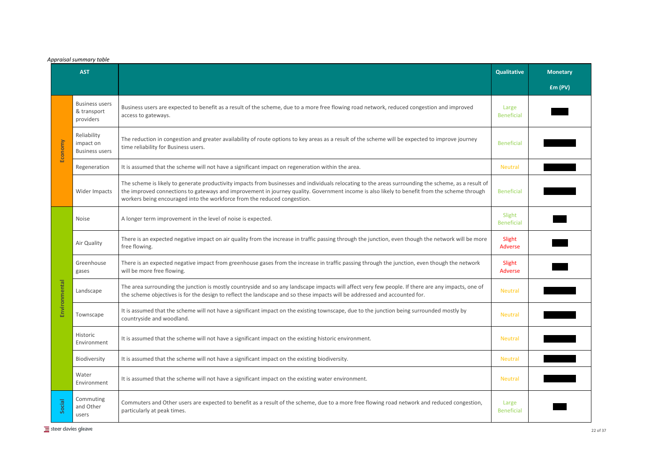# *Appraisal summary table*

| <b>Qualitative</b>          | <b>Monetary</b> |
|-----------------------------|-----------------|
|                             | £m (PV)         |
| Large<br><b>Beneficial</b>  |                 |
| <b>Beneficial</b>           |                 |
| <b>Neutral</b>              |                 |
| <b>Beneficial</b>           |                 |
| Slight<br><b>Beneficial</b> |                 |
| Slight<br><b>Adverse</b>    |                 |
| Slight<br><b>Adverse</b>    |                 |
| <b>Neutral</b>              |                 |
| <b>Neutral</b>              |                 |
| <b>Neutral</b>              |                 |
| <b>Neutral</b>              |                 |
| <b>Neutral</b>              |                 |
| Large<br><b>Beneficial</b>  |                 |

| <b>AST</b> |                                                   |                                                                                                                                                                                                                                                                                                                                                                                  | <b>Qualitative</b>          | <b>Monetary</b> |
|------------|---------------------------------------------------|----------------------------------------------------------------------------------------------------------------------------------------------------------------------------------------------------------------------------------------------------------------------------------------------------------------------------------------------------------------------------------|-----------------------------|-----------------|
|            |                                                   |                                                                                                                                                                                                                                                                                                                                                                                  |                             | Em(PV)          |
|            | <b>Business users</b><br>& transport<br>providers | Business users are expected to benefit as a result of the scheme, due to a more free flowing road network, reduced congestion and improved<br>access to gateways.                                                                                                                                                                                                                | Large<br><b>Beneficial</b>  |                 |
| Economy    | Reliability<br>impact on<br><b>Business users</b> | The reduction in congestion and greater availability of route options to key areas as a result of the scheme will be expected to improve journey<br>time reliability for Business users.                                                                                                                                                                                         | <b>Beneficial</b>           |                 |
|            | Regeneration                                      | It is assumed that the scheme will not have a significant impact on regeneration within the area.                                                                                                                                                                                                                                                                                | <b>Neutral</b>              |                 |
|            | Wider Impacts                                     | The scheme is likely to generate productivity impacts from businesses and individuals relocating to the areas surrounding the scheme, as a result of<br>the improved connections to gateways and improvement in journey quality. Government income is also likely to benefit from the scheme through<br>workers being encouraged into the workforce from the reduced congestion. | <b>Beneficial</b>           |                 |
|            | <b>Noise</b>                                      | A longer term improvement in the level of noise is expected.                                                                                                                                                                                                                                                                                                                     | Slight<br><b>Beneficial</b> |                 |
|            | Air Quality                                       | There is an expected negative impact on air quality from the increase in traffic passing through the junction, even though the network will be more<br>free flowing.                                                                                                                                                                                                             | Slight<br><b>Adverse</b>    |                 |
|            | Greenhouse<br>gases                               | There is an expected negative impact from greenhouse gases from the increase in traffic passing through the junction, even though the network<br>will be more free flowing.                                                                                                                                                                                                      | Slight<br>Adverse           |                 |
| ronmental  | Landscape                                         | The area surrounding the junction is mostly countryside and so any landscape impacts will affect very few people. If there are any impacts, one of<br>the scheme objectives is for the design to reflect the landscape and so these impacts will be addressed and accounted for.                                                                                                 | <b>Neutral</b>              |                 |
| 띵          | Townscape                                         | It is assumed that the scheme will not have a significant impact on the existing townscape, due to the junction being surrounded mostly by<br>countryside and woodland.                                                                                                                                                                                                          | <b>Neutral</b>              |                 |
|            | Historic<br>Environment                           | It is assumed that the scheme will not have a significant impact on the existing historic environment.                                                                                                                                                                                                                                                                           | <b>Neutral</b>              |                 |
|            | Biodiversity                                      | It is assumed that the scheme will not have a significant impact on the existing biodiversity.                                                                                                                                                                                                                                                                                   | <b>Neutral</b>              |                 |
|            | Water<br>Environment                              | It is assumed that the scheme will not have a significant impact on the existing water environment.                                                                                                                                                                                                                                                                              | <b>Neutral</b>              |                 |
| Social     | Commuting<br>and Other<br>users                   | Commuters and Other users are expected to benefit as a result of the scheme, due to a more free flowing road network and reduced congestion,<br>particularly at peak times.                                                                                                                                                                                                      | Large<br><b>Beneficial</b>  |                 |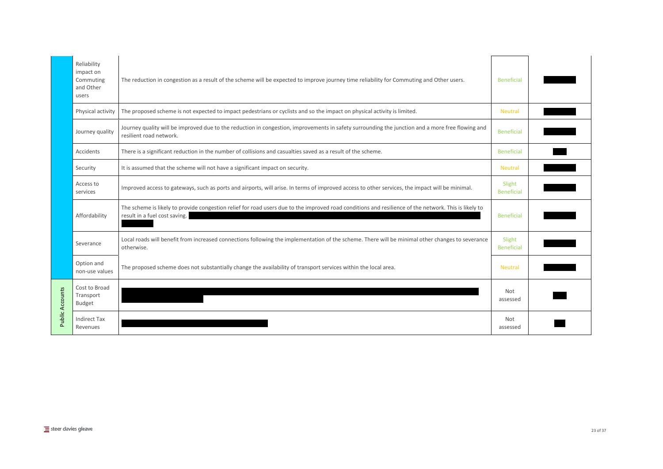|                        | Reliability<br>impact on<br>Commuting<br>and Other<br>users | The reduction in congestion as a result of the scheme will be expected to improve journey time reliability for Commuting and Other users.                                              | <b>Beneficial</b>           |  |
|------------------------|-------------------------------------------------------------|----------------------------------------------------------------------------------------------------------------------------------------------------------------------------------------|-----------------------------|--|
|                        | Physical activity                                           | The proposed scheme is not expected to impact pedestrians or cyclists and so the impact on physical activity is limited.                                                               | <b>Neutral</b>              |  |
|                        | Journey quality                                             | Journey quality will be improved due to the reduction in congestion, improvements in safety surrounding the junction and a more free flowing and<br>resilient road network.            | <b>Beneficial</b>           |  |
|                        | Accidents                                                   | There is a significant reduction in the number of collisions and casualties saved as a result of the scheme.                                                                           | <b>Beneficial</b>           |  |
|                        | Security                                                    | It is assumed that the scheme will not have a significant impact on security.                                                                                                          | <b>Neutral</b>              |  |
|                        | Access to<br>services                                       | Improved access to gateways, such as ports and airports, will arise. In terms of improved access to other services, the impact will be minimal.                                        | Slight<br><b>Beneficial</b> |  |
|                        | Affordability                                               | The scheme is likely to provide congestion relief for road users due to the improved road conditions and resilience of the network. This is likely to<br>result in a fuel cost saving. | <b>Beneficial</b>           |  |
|                        | Severance                                                   | Local roads will benefit from increased connections following the implementation of the scheme. There will be minimal other changes to severance<br>otherwise.                         | Slight<br><b>Beneficial</b> |  |
|                        | Option and<br>non-use values                                | The proposed scheme does not substantially change the availability of transport services within the local area.                                                                        | <b>Neutral</b>              |  |
| <b>Public Accounts</b> | Cost to Broad<br>Transport<br><b>Budget</b>                 |                                                                                                                                                                                        | <b>Not</b><br>assessed      |  |
|                        | <b>Indirect Tax</b><br>Revenues                             |                                                                                                                                                                                        | <b>Not</b><br>assessed      |  |

| <b>Beneficial</b>           |  |
|-----------------------------|--|
| <b>Neutral</b>              |  |
| <b>Beneficial</b>           |  |
| <b>Beneficial</b>           |  |
| <b>Neutral</b>              |  |
| Slight<br><b>Beneficial</b> |  |
| <b>Beneficial</b>           |  |
| Slight<br><b>Beneficial</b> |  |
| <b>Neutral</b>              |  |
| Not<br>assessed             |  |
| Not<br>assessed             |  |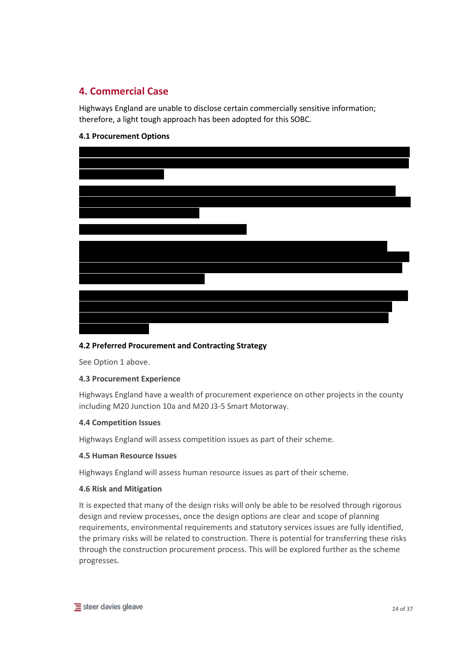# **4. Commercial Case**

Highways England are unable to disclose certain commercially sensitive information; therefore, a light tough approach has been adopted for this SOBC.

# **4.1 Procurement Options**



# **4.2 Preferred Procurement and Contracting Strategy**

See Option 1 above.

# **4.3 Procurement Experience**

Highways England have a wealth of procurement experience on other projects in the county including M20 Junction 10a and M20 J3-5 Smart Motorway.

#### **4.4 Competition Issues**

Highways England will assess competition issues as part of their scheme.

#### **4.5 Human Resource Issues**

Highways England will assess human resource issues as part of their scheme.

#### **4.6 Risk and Mitigation**

It is expected that many of the design risks will only be able to be resolved through rigorous design and review processes, once the design options are clear and scope of planning requirements, environmental requirements and statutory services issues are fully identified, the primary risks will be related to construction. There is potential for transferring these risks through the construction procurement process. This will be explored further as the scheme progresses.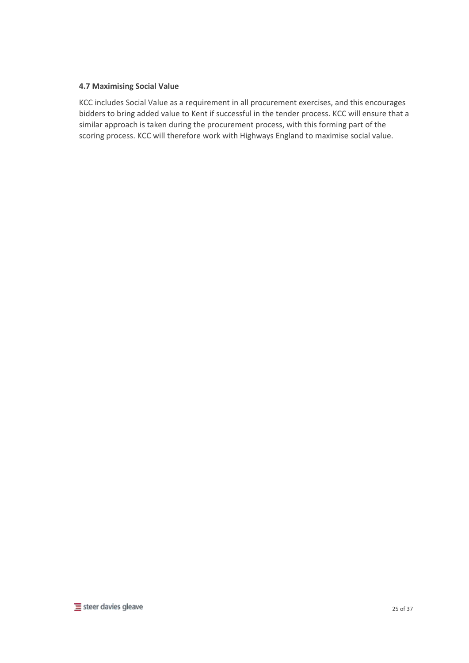# **4.7 Maximising Social Value**

KCC includes Social Value as a requirement in all procurement exercises, and this encourages bidders to bring added value to Kent if successful in the tender process. KCC will ensure that a similar approach is taken during the procurement process, with this forming part of the scoring process. KCC will therefore work with Highways England to maximise social value.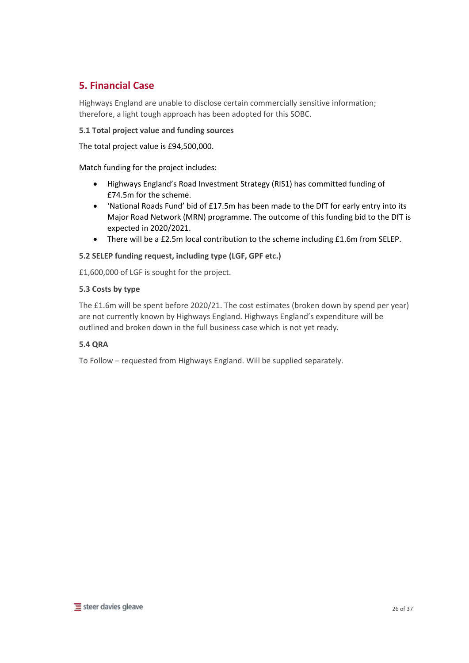# **5. Financial Case**

Highways England are unable to disclose certain commercially sensitive information; therefore, a light tough approach has been adopted for this SOBC.

**5.1 Total project value and funding sources**

The total project value is £94,500,000.

Match funding for the project includes:

- Highways England's Road Investment Strategy (RIS1) has committed funding of £74.5m for the scheme.
- 'National Roads Fund' bid of £17.5m has been made to the DfT for early entry into its Major Road Network (MRN) programme. The outcome of this funding bid to the DfT is expected in 2020/2021.
- There will be a £2.5m local contribution to the scheme including £1.6m from SELEP.

**5.2 SELEP funding request, including type (LGF, GPF etc.)**

£1,600,000 of LGF is sought for the project.

# **5.3 Costs by type**

The £1.6m will be spent before 2020/21. The cost estimates (broken down by spend per year) are not currently known by Highways England. Highways England's expenditure will be outlined and broken down in the full business case which is not yet ready.

# **5.4 QRA**

To Follow – requested from Highways England. Will be supplied separately.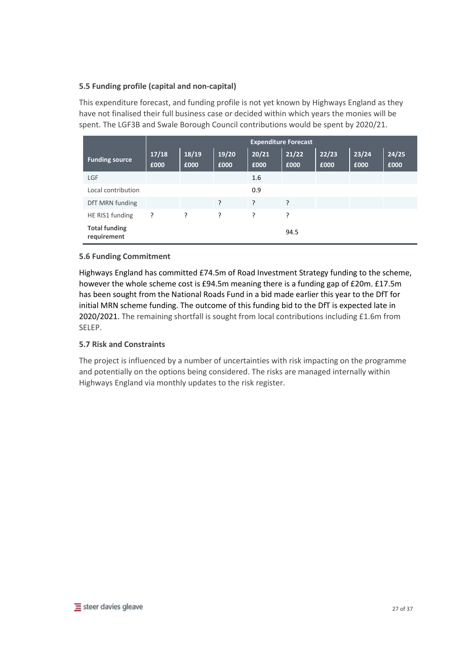# **5.5 Funding profile (capital and non-capital)**

This expenditure forecast, and funding profile is not yet known by Highways England as they have not finalised their full business case or decided within which years the monies will be spent. The LGF3B and Swale Borough Council contributions would be spent by 2020/21.

|                                     | <b>Expenditure Forecast</b> |               |               |               |               |               |               |               |
|-------------------------------------|-----------------------------|---------------|---------------|---------------|---------------|---------------|---------------|---------------|
| <b>Funding source</b>               | 17/18<br>£000               | 18/19<br>£000 | 19/20<br>£000 | 20/21<br>£000 | 21/22<br>£000 | 22/23<br>£000 | 23/24<br>£000 | 24/25<br>£000 |
| LGF                                 |                             |               |               | 1.6           |               |               |               |               |
| Local contribution                  |                             |               |               | 0.9           |               |               |               |               |
| DfT MRN funding                     |                             |               | ?             | ?             | ?             |               |               |               |
| HE RIS1 funding                     | ?                           | ?             | ?             | ?             | 5.            |               |               |               |
| <b>Total funding</b><br>requirement |                             |               |               |               | 94.5          |               |               |               |

# **5.6 Funding Commitment**

Highways England has committed £74.5m of Road Investment Strategy funding to the scheme, however the whole scheme cost is £94.5m meaning there is a funding gap of £20m. £17.5m has been sought from the National Roads Fund in a bid made earlier this year to the DfT for initial MRN scheme funding. The outcome of this funding bid to the DfT is expected late in 2020/2021. The remaining shortfall is sought from local contributions including £1.6m from SELEP.

# **5.7 Risk and Constraints**

The project is influenced by a number of uncertainties with risk impacting on the programme and potentially on the options being considered. The risks are managed internally within Highways England via monthly updates to the risk register.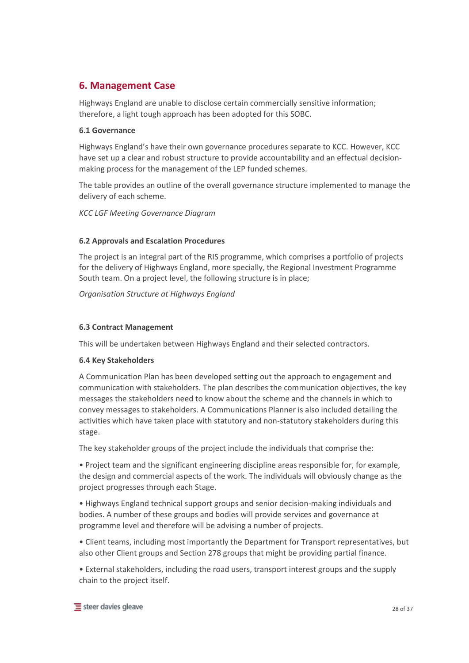# **6. Management Case**

Highways England are unable to disclose certain commercially sensitive information; therefore, a light tough approach has been adopted for this SOBC.

# **6.1 Governance**

Highways England's have their own governance procedures separate to KCC. However, KCC have set up a clear and robust structure to provide accountability and an effectual decisionmaking process for the management of the LEP funded schemes.

The table provides an outline of the overall governance structure implemented to manage the delivery of each scheme.

*KCC LGF Meeting Governance Diagram*

# **6.2 Approvals and Escalation Procedures**

The project is an integral part of the RIS programme, which comprises a portfolio of projects for the delivery of Highways England, more specially, the Regional Investment Programme South team. On a project level, the following structure is in place;

*Organisation Structure at Highways England*

# **6.3 Contract Management**

This will be undertaken between Highways England and their selected contractors.

# **6.4 Key Stakeholders**

A Communication Plan has been developed setting out the approach to engagement and communication with stakeholders. The plan describes the communication objectives, the key messages the stakeholders need to know about the scheme and the channels in which to convey messages to stakeholders. A Communications Planner is also included detailing the activities which have taken place with statutory and non-statutory stakeholders during this stage.

The key stakeholder groups of the project include the individuals that comprise the:

• Project team and the significant engineering discipline areas responsible for, for example, the design and commercial aspects of the work. The individuals will obviously change as the project progresses through each Stage.

• Highways England technical support groups and senior decision-making individuals and bodies. A number of these groups and bodies will provide services and governance at programme level and therefore will be advising a number of projects.

• Client teams, including most importantly the Department for Transport representatives, but also other Client groups and Section 278 groups that might be providing partial finance.

• External stakeholders, including the road users, transport interest groups and the supply chain to the project itself.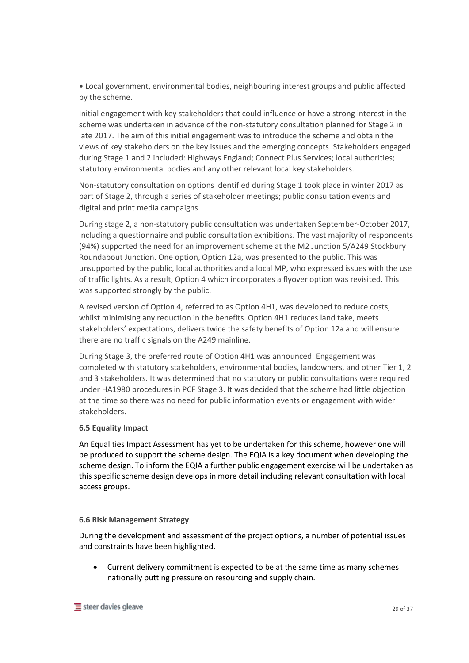• Local government, environmental bodies, neighbouring interest groups and public affected by the scheme.

Initial engagement with key stakeholders that could influence or have a strong interest in the scheme was undertaken in advance of the non-statutory consultation planned for Stage 2 in late 2017. The aim of this initial engagement was to introduce the scheme and obtain the views of key stakeholders on the key issues and the emerging concepts. Stakeholders engaged during Stage 1 and 2 included: Highways England; Connect Plus Services; local authorities; statutory environmental bodies and any other relevant local key stakeholders.

Non-statutory consultation on options identified during Stage 1 took place in winter 2017 as part of Stage 2, through a series of stakeholder meetings; public consultation events and digital and print media campaigns.

During stage 2, a non-statutory public consultation was undertaken September-October 2017, including a questionnaire and public consultation exhibitions. The vast majority of respondents (94%) supported the need for an improvement scheme at the M2 Junction 5/A249 Stockbury Roundabout Junction. One option, Option 12a, was presented to the public. This was unsupported by the public, local authorities and a local MP, who expressed issues with the use of traffic lights. As a result, Option 4 which incorporates a flyover option was revisited. This was supported strongly by the public.

A revised version of Option 4, referred to as Option 4H1, was developed to reduce costs, whilst minimising any reduction in the benefits. Option 4H1 reduces land take, meets stakeholders' expectations, delivers twice the safety benefits of Option 12a and will ensure there are no traffic signals on the A249 mainline.

During Stage 3, the preferred route of Option 4H1 was announced. Engagement was completed with statutory stakeholders, environmental bodies, landowners, and other Tier 1, 2 and 3 stakeholders. It was determined that no statutory or public consultations were required under HA1980 procedures in PCF Stage 3. It was decided that the scheme had little objection at the time so there was no need for public information events or engagement with wider stakeholders.

# **6.5 Equality Impact**

An Equalities Impact Assessment has yet to be undertaken for this scheme, however one will be produced to support the scheme design. The EQIA is a key document when developing the scheme design. To inform the EQIA a further public engagement exercise will be undertaken as this specific scheme design develops in more detail including relevant consultation with local access groups.

#### **6.6 Risk Management Strategy**

During the development and assessment of the project options, a number of potential issues and constraints have been highlighted.

• Current delivery commitment is expected to be at the same time as many schemes nationally putting pressure on resourcing and supply chain.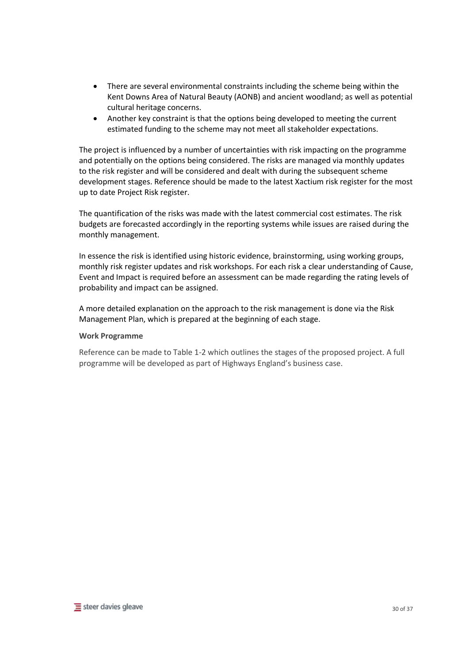- There are several environmental constraints including the scheme being within the Kent Downs Area of Natural Beauty (AONB) and ancient woodland; as well as potential cultural heritage concerns.
- Another key constraint is that the options being developed to meeting the current estimated funding to the scheme may not meet all stakeholder expectations.

The project is influenced by a number of uncertainties with risk impacting on the programme and potentially on the options being considered. The risks are managed via monthly updates to the risk register and will be considered and dealt with during the subsequent scheme development stages. Reference should be made to the latest Xactium risk register for the most up to date Project Risk register.

The quantification of the risks was made with the latest commercial cost estimates. The risk budgets are forecasted accordingly in the reporting systems while issues are raised during the monthly management.

In essence the risk is identified using historic evidence, brainstorming, using working groups, monthly risk register updates and risk workshops. For each risk a clear understanding of Cause, Event and Impact is required before an assessment can be made regarding the rating levels of probability and impact can be assigned.

A more detailed explanation on the approach to the risk management is done via the Risk Management Plan, which is prepared at the beginning of each stage.

#### **Work Programme**

Reference can be made to Table 1-2 which outlines the stages of the proposed project. A full programme will be developed as part of Highways England's business case.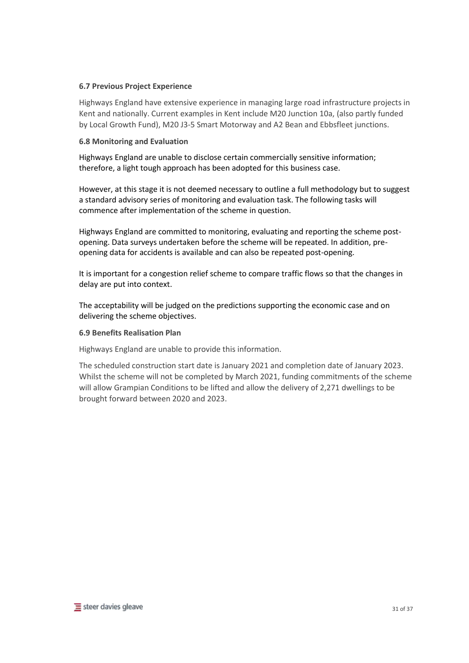## **6.7 Previous Project Experience**

Highways England have extensive experience in managing large road infrastructure projects in Kent and nationally. Current examples in Kent include M20 Junction 10a, (also partly funded by Local Growth Fund), M20 J3-5 Smart Motorway and A2 Bean and Ebbsfleet junctions.

#### **6.8 Monitoring and Evaluation**

Highways England are unable to disclose certain commercially sensitive information; therefore, a light tough approach has been adopted for this business case.

However, at this stage it is not deemed necessary to outline a full methodology but to suggest a standard advisory series of monitoring and evaluation task. The following tasks will commence after implementation of the scheme in question.

Highways England are committed to monitoring, evaluating and reporting the scheme postopening. Data surveys undertaken before the scheme will be repeated. In addition, preopening data for accidents is available and can also be repeated post-opening.

It is important for a congestion relief scheme to compare traffic flows so that the changes in delay are put into context.

The acceptability will be judged on the predictions supporting the economic case and on delivering the scheme objectives.

#### **6.9 Benefits Realisation Plan**

Highways England are unable to provide this information.

The scheduled construction start date is January 2021 and completion date of January 2023. Whilst the scheme will not be completed by March 2021, funding commitments of the scheme will allow Grampian Conditions to be lifted and allow the delivery of 2,271 dwellings to be brought forward between 2020 and 2023.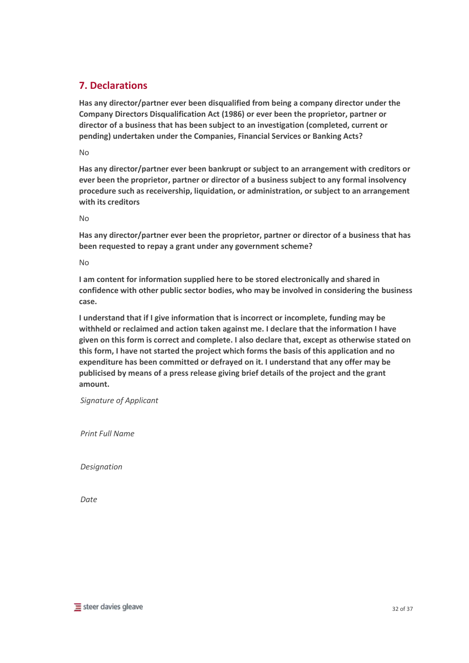# **7. Declarations**

**Has any director/partner ever been disqualified from being a company director under the Company Directors Disqualification Act (1986) or ever been the proprietor, partner or director of a business that has been subject to an investigation (completed, current or pending) undertaken under the Companies, Financial Services or Banking Acts?** 

No

**Has any director/partner ever been bankrupt or subject to an arrangement with creditors or ever been the proprietor, partner or director of a business subject to any formal insolvency procedure such as receivership, liquidation, or administration, or subject to an arrangement with its creditors**

No

**Has any director/partner ever been the proprietor, partner or director of a business that has been requested to repay a grant under any government scheme?**

No

**I am content for information supplied here to be stored electronically and shared in confidence with other public sector bodies, who may be involved in considering the business case.**

**I understand that if I give information that is incorrect or incomplete, funding may be withheld or reclaimed and action taken against me. I declare that the information I have given on this form is correct and complete. I also declare that, except as otherwise stated on this form, I have not started the project which forms the basis of this application and no expenditure has been committed or defrayed on it. I understand that any offer may be publicised by means of a press release giving brief details of the project and the grant amount.**

*Signature of Applicant*

*Print Full Name*

*Designation*

*Date*

 $\equiv$  steer davies gleave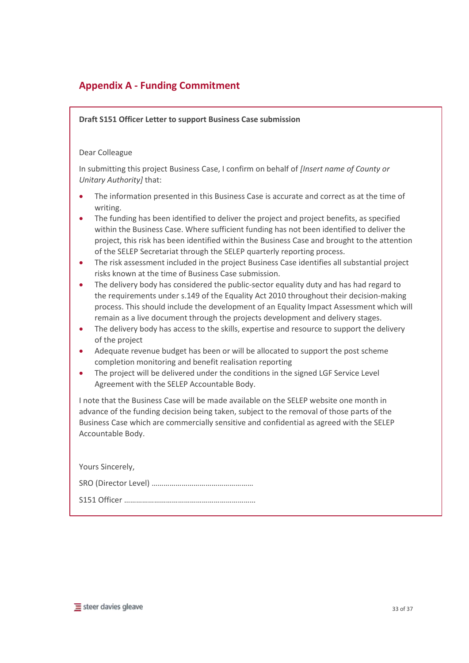# **Appendix A - Funding Commitment**

**Draft S151 Officer Letter to support Business Case submission**

#### Dear Colleague

In submitting this project Business Case, I confirm on behalf of *[Insert name of County or Unitary Authority]* that:

- The information presented in this Business Case is accurate and correct as at the time of writing.
- The funding has been identified to deliver the project and project benefits, as specified within the Business Case. Where sufficient funding has not been identified to deliver the project, this risk has been identified within the Business Case and brought to the attention of the SELEP Secretariat through the SELEP quarterly reporting process.
- The risk assessment included in the project Business Case identifies all substantial project risks known at the time of Business Case submission.
- The delivery body has considered the public-sector equality duty and has had regard to the requirements under s.149 of the Equality Act 2010 throughout their decision-making process. This should include the development of an Equality Impact Assessment which will remain as a live document through the projects development and delivery stages.
- The delivery body has access to the skills, expertise and resource to support the delivery of the project
- Adequate revenue budget has been or will be allocated to support the post scheme completion monitoring and benefit realisation reporting
- The project will be delivered under the conditions in the signed LGF Service Level Agreement with the SELEP Accountable Body.

I note that the Business Case will be made available on the SELEP website one month in advance of the funding decision being taken, subject to the removal of those parts of the Business Case which are commercially sensitive and confidential as agreed with the SELEP Accountable Body.

| Yours Sincerely, |
|------------------|
|                  |
|                  |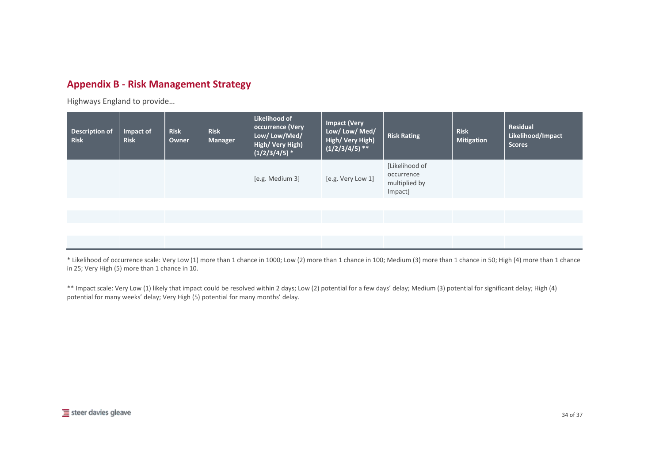# **Appendix B - Risk Management Strategy**

Highways England to provide…

| <b>Description of</b><br><b>Risk</b> | Impact of<br><b>Risk</b> | <b>Risk</b><br>Owner | <b>Risk</b><br>Manager | Likelihood of<br>occurrence (Very<br>Low/Low/Med/<br>High/Very High)<br>$(1/2/3/4/5)$ * | <b>Impact (Very</b><br>Low/ Low/ Med/<br>High/Very High)<br>$(1/2/3/4/5)$ ** | <b>Risk Rating</b>                                       | <b>Risk</b><br><b>Mitigation</b> | <b>Residual</b><br>Likelihood/Impact<br><b>Scores</b> |
|--------------------------------------|--------------------------|----------------------|------------------------|-----------------------------------------------------------------------------------------|------------------------------------------------------------------------------|----------------------------------------------------------|----------------------------------|-------------------------------------------------------|
|                                      |                          |                      |                        | [e.g. Medium 3]                                                                         | [e.g. Very Low 1]                                                            | [Likelihood of<br>occurrence<br>multiplied by<br>Impact] |                                  |                                                       |
|                                      |                          |                      |                        |                                                                                         |                                                                              |                                                          |                                  |                                                       |
|                                      |                          |                      |                        |                                                                                         |                                                                              |                                                          |                                  |                                                       |

\* Likelihood of occurrence scale: Very Low (1) more than 1 chance in 1000; Low (2) more than 1 chance in 100; Medium (3) more than 1 chance in 50; High (4) more than 1 chance in 25; Very High (5) more than 1 chance in 10.

\*\* Impact scale: Very Low (1) likely that impact could be resolved within 2 days; Low (2) potential for a few days' delay; Medium (3) potential for significant delay; High (4) potential for many weeks' delay; Very High (5) potential for many months' delay.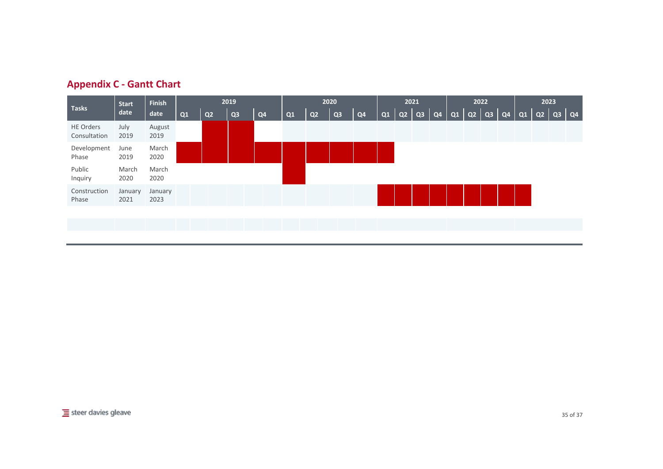| <b>Appendix C - Gantt Chart</b> |  |  |  |
|---------------------------------|--|--|--|
|---------------------------------|--|--|--|

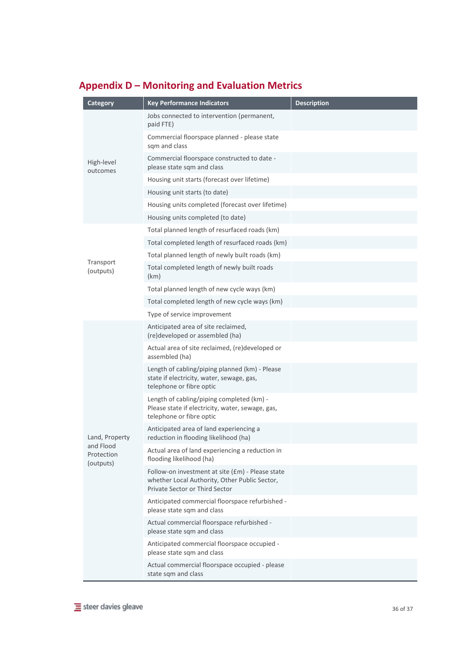| Category                             | <b>Key Performance Indicators</b>                                                                                                   | <b>Description</b> |
|--------------------------------------|-------------------------------------------------------------------------------------------------------------------------------------|--------------------|
|                                      | Jobs connected to intervention (permanent,<br>paid FTE)                                                                             |                    |
|                                      | Commercial floorspace planned - please state<br>sqm and class                                                                       |                    |
| High-level<br>outcomes               | Commercial floorspace constructed to date -<br>please state sqm and class                                                           |                    |
|                                      | Housing unit starts (forecast over lifetime)                                                                                        |                    |
|                                      | Housing unit starts (to date)                                                                                                       |                    |
|                                      | Housing units completed (forecast over lifetime)                                                                                    |                    |
|                                      | Housing units completed (to date)                                                                                                   |                    |
|                                      | Total planned length of resurfaced roads (km)                                                                                       |                    |
|                                      | Total completed length of resurfaced roads (km)                                                                                     |                    |
|                                      | Total planned length of newly built roads (km)                                                                                      |                    |
| Transport<br>(outputs)               | Total completed length of newly built roads<br>(km)                                                                                 |                    |
|                                      | Total planned length of new cycle ways (km)                                                                                         |                    |
|                                      | Total completed length of new cycle ways (km)                                                                                       |                    |
|                                      | Type of service improvement                                                                                                         |                    |
|                                      | Anticipated area of site reclaimed,<br>(re)developed or assembled (ha)                                                              |                    |
|                                      | Actual area of site reclaimed, (re)developed or<br>assembled (ha)                                                                   |                    |
|                                      | Length of cabling/piping planned (km) - Please<br>state if electricity, water, sewage, gas,<br>telephone or fibre optic             |                    |
|                                      | Length of cabling/piping completed (km) -<br>Please state if electricity, water, sewage, gas,<br>telephone or fibre optic           |                    |
| Land, Property                       | Anticipated area of land experiencing a<br>reduction in flooding likelihood (ha)                                                    |                    |
| and Flood<br>Protection<br>(outputs) | Actual area of land experiencing a reduction in<br>flooding likelihood (ha)                                                         |                    |
|                                      | Follow-on investment at site (£m) - Please state<br>whether Local Authority, Other Public Sector,<br>Private Sector or Third Sector |                    |
|                                      | Anticipated commercial floorspace refurbished -<br>please state sqm and class                                                       |                    |
|                                      | Actual commercial floorspace refurbished -<br>please state sqm and class                                                            |                    |
|                                      | Anticipated commercial floorspace occupied -<br>please state sqm and class                                                          |                    |
|                                      | Actual commercial floorspace occupied - please<br>state sqm and class                                                               |                    |

# **Appendix D – Monitoring and Evaluation Metrics**